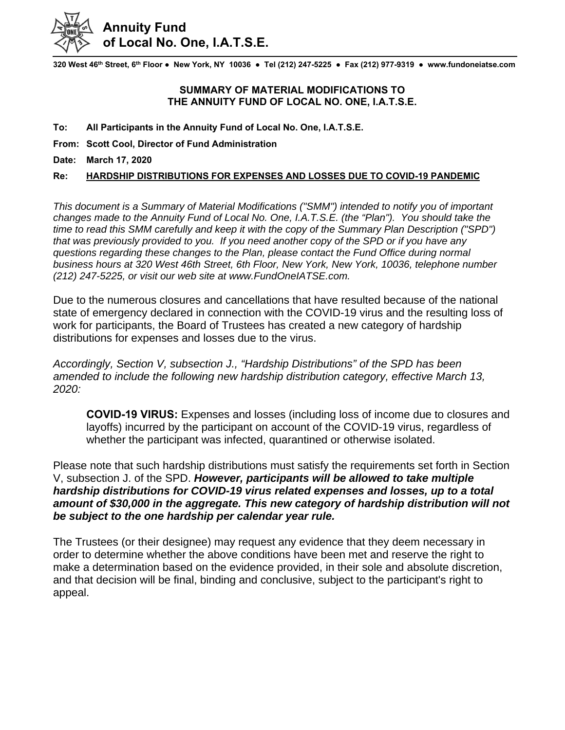

**320 West 46th Street, 6th Floor ● New York, NY 10036 ● Tel (212) 247-5225 ● Fax (212) 977-9319 ● www.fundoneiatse.com** 

## **SUMMARY OF MATERIAL MODIFICATIONS TO THE ANNUITY FUND OF LOCAL NO. ONE, I.A.T.S.E.**

**To: All Participants in the Annuity Fund of Local No. One, I.A.T.S.E.** 

**From: Scott Cool, Director of Fund Administration** 

**Date: March 17, 2020** 

## **Re: HARDSHIP DISTRIBUTIONS FOR EXPENSES AND LOSSES DUE TO COVID-19 PANDEMIC**

*This document is a Summary of Material Modifications ("SMM") intended to notify you of important changes made to the Annuity Fund of Local No. One, I.A.T.S.E. (the "Plan"). You should take the time to read this SMM carefully and keep it with the copy of the Summary Plan Description ("SPD") that was previously provided to you. If you need another copy of the SPD or if you have any questions regarding these changes to the Plan, please contact the Fund Office during normal business hours at 320 West 46th Street, 6th Floor, New York, New York, 10036, telephone number (212) 247-5225, or visit our web site at www.FundOneIATSE.com.* 

Due to the numerous closures and cancellations that have resulted because of the national state of emergency declared in connection with the COVID-19 virus and the resulting loss of work for participants, the Board of Trustees has created a new category of hardship distributions for expenses and losses due to the virus.

*Accordingly, Section V, subsection J., "Hardship Distributions" of the SPD has been amended to include the following new hardship distribution category, effective March 13, 2020:* 

**COVID-19 VIRUS:** Expenses and losses (including loss of income due to closures and layoffs) incurred by the participant on account of the COVID-19 virus, regardless of whether the participant was infected, quarantined or otherwise isolated.

Please note that such hardship distributions must satisfy the requirements set forth in Section V, subsection J. of the SPD. *However, participants will be allowed to take multiple hardship distributions for COVID-19 virus related expenses and losses, up to a total amount of \$30,000 in the aggregate. This new category of hardship distribution will not be subject to the one hardship per calendar year rule.* 

The Trustees (or their designee) may request any evidence that they deem necessary in order to determine whether the above conditions have been met and reserve the right to make a determination based on the evidence provided, in their sole and absolute discretion, and that decision will be final, binding and conclusive, subject to the participant's right to appeal.